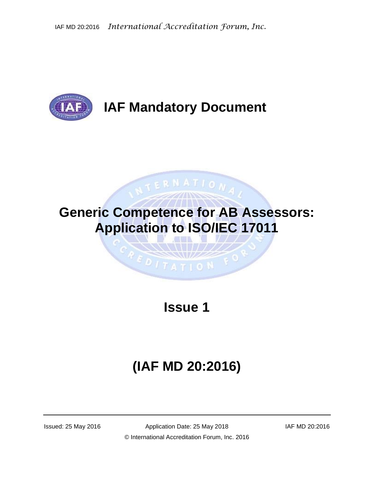

## **IAF Mandatory Document**

# **Generic Competence for AB Assessors: Application to ISO/IEC 17011**

**TERNATION** 

### **Issue 1**

 $1 TATIO N$ 

# **(IAF MD 20:2016)**

Issued: 25 May 2016 Application Date: 25 May 2018 IAF MD 20:2016 © International Accreditation Forum, Inc. 2016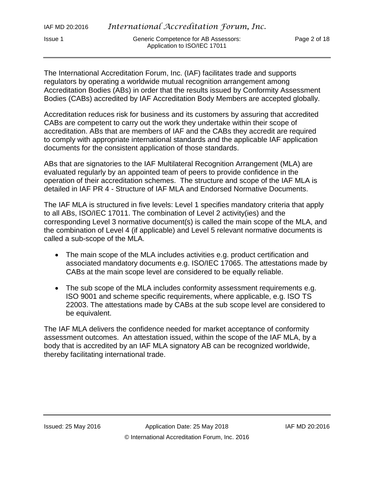The International Accreditation Forum, Inc. (IAF) facilitates trade and supports regulators by operating a worldwide mutual recognition arrangement among Accreditation Bodies (ABs) in order that the results issued by Conformity Assessment Bodies (CABs) accredited by IAF Accreditation Body Members are accepted globally.

Accreditation reduces risk for business and its customers by assuring that accredited CABs are competent to carry out the work they undertake within their scope of accreditation. ABs that are members of IAF and the CABs they accredit are required to comply with appropriate international standards and the applicable IAF application documents for the consistent application of those standards.

ABs that are signatories to the IAF Multilateral Recognition Arrangement (MLA) are evaluated regularly by an appointed team of peers to provide confidence in the operation of their accreditation schemes. The structure and scope of the IAF MLA is detailed in IAF PR 4 - Structure of IAF MLA and Endorsed Normative Documents.

The IAF MLA is structured in five levels: Level 1 specifies mandatory criteria that apply to all ABs, ISO/IEC 17011. The combination of Level 2 activity(ies) and the corresponding Level 3 normative document(s) is called the main scope of the MLA, and the combination of Level 4 (if applicable) and Level 5 relevant normative documents is called a sub-scope of the MLA.

- The main scope of the MLA includes activities e.g. product certification and associated mandatory documents e.g. ISO/IEC 17065. The attestations made by CABs at the main scope level are considered to be equally reliable.
- The sub scope of the MLA includes conformity assessment requirements e.g. ISO 9001 and scheme specific requirements, where applicable, e.g. ISO TS 22003. The attestations made by CABs at the sub scope level are considered to be equivalent.

The IAF MLA delivers the confidence needed for market acceptance of conformity assessment outcomes. An attestation issued, within the scope of the IAF MLA, by a body that is accredited by an IAF MLA signatory AB can be recognized worldwide, thereby facilitating international trade.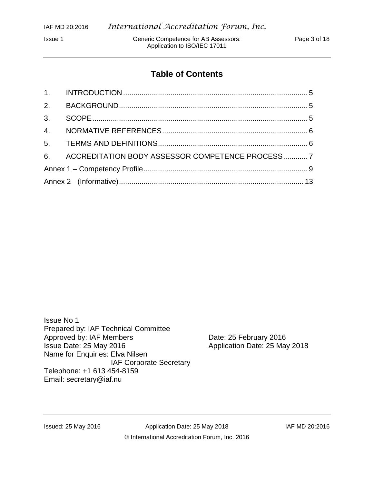Issue 1 Generic Competence for AB Assessors: Page 3 of 18 Application to ISO/IEC 17011

#### **Table of Contents**

|  | 6. ACCREDITATION BODY ASSESSOR COMPETENCE PROCESS7 |  |
|--|----------------------------------------------------|--|
|  |                                                    |  |
|  |                                                    |  |

Issue No 1 Prepared by: IAF Technical Committee Approved by: IAF Members Date: 25 February 2016 Issue Date: 25 May 2016 **Application Date: 25 May 2018** Name for Enquiries: Elva Nilsen IAF Corporate Secretary Telephone: +1 613 454-8159 Email: secretary@iaf.nu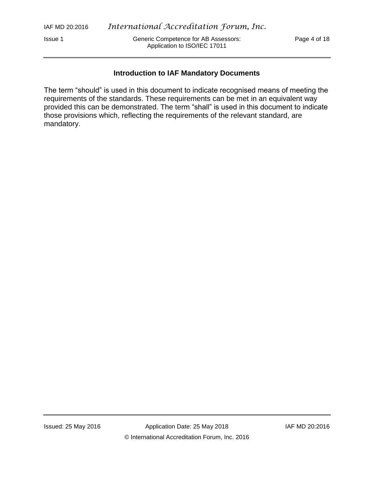Issue 1 Generic Competence for AB Assessors: Page 4 of 18 Application to ISO/IEC 17011

#### **Introduction to IAF Mandatory Documents**

The term "should" is used in this document to indicate recognised means of meeting the requirements of the standards. These requirements can be met in an equivalent way provided this can be demonstrated. The term "shall" is used in this document to indicate those provisions which, reflecting the requirements of the relevant standard, are mandatory.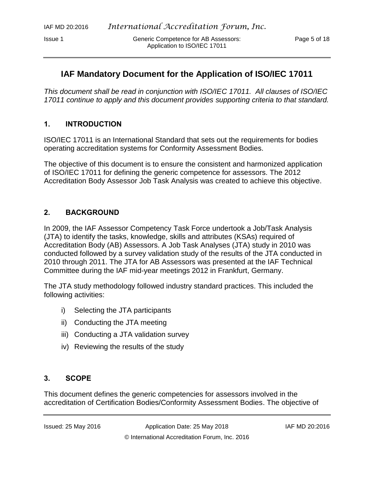Issue 1 Generic Competence for AB Assessors: Page 5 of 18 Application to ISO/IEC 17011

#### **IAF Mandatory Document for the Application of ISO/IEC 17011**

*This document shall be read in conjunction with ISO/IEC 17011. All clauses of ISO/IEC 17011 continue to apply and this document provides supporting criteria to that standard.*

#### <span id="page-4-0"></span>**1. INTRODUCTION**

ISO/IEC 17011 is an International Standard that sets out the requirements for bodies operating accreditation systems for Conformity Assessment Bodies.

The objective of this document is to ensure the consistent and harmonized application of ISO/IEC 17011 for defining the generic competence for assessors. The 2012 Accreditation Body Assessor Job Task Analysis was created to achieve this objective.

#### <span id="page-4-1"></span>**2. BACKGROUND**

In 2009, the IAF Assessor Competency Task Force undertook a Job/Task Analysis (JTA) to identify the tasks, knowledge, skills and attributes (KSAs) required of Accreditation Body (AB) Assessors. A Job Task Analyses (JTA) study in 2010 was conducted followed by a survey validation study of the results of the JTA conducted in 2010 through 2011. The JTA for AB Assessors was presented at the IAF Technical Committee during the IAF mid-year meetings 2012 in Frankfurt, Germany.

The JTA study methodology followed industry standard practices. This included the following activities:

- i) Selecting the JTA participants
- ii) Conducting the JTA meeting
- iii) Conducting a JTA validation survey
- iv) Reviewing the results of the study

#### <span id="page-4-2"></span>**3. SCOPE**

This document defines the generic competencies for assessors involved in the accreditation of Certification Bodies/Conformity Assessment Bodies. The objective of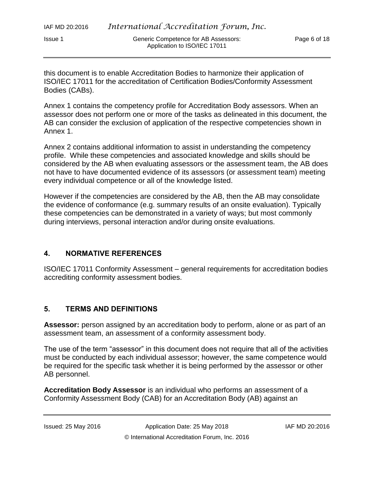this document is to enable Accreditation Bodies to harmonize their application of ISO/IEC 17011 for the accreditation of Certification Bodies/Conformity Assessment Bodies (CABs).

Annex 1 contains the competency profile for Accreditation Body assessors. When an assessor does not perform one or more of the tasks as delineated in this document, the AB can consider the exclusion of application of the respective competencies shown in Annex 1.

Annex 2 contains additional information to assist in understanding the competency profile. While these competencies and associated knowledge and skills should be considered by the AB when evaluating assessors or the assessment team, the AB does not have to have documented evidence of its assessors (or assessment team) meeting every individual competence or all of the knowledge listed.

However if the competencies are considered by the AB, then the AB may consolidate the evidence of conformance (e.g. summary results of an onsite evaluation). Typically these competencies can be demonstrated in a variety of ways; but most commonly during interviews, personal interaction and/or during onsite evaluations.

#### <span id="page-5-0"></span>**4. NORMATIVE REFERENCES**

ISO/IEC 17011 Conformity Assessment – general requirements for accreditation bodies accrediting conformity assessment bodies.

#### <span id="page-5-1"></span>**5. TERMS AND DEFINITIONS**

Assessor: person assigned by an accreditation body to perform, alone or as part of an assessment team, an assessment of a conformity assessment body.

The use of the term "assessor" in this document does not require that all of the activities must be conducted by each individual assessor; however, the same competence would be required for the specific task whether it is being performed by the assessor or other AB personnel.

**Accreditation Body Assessor** is an individual who performs an assessment of a Conformity Assessment Body (CAB) for an Accreditation Body (AB) against an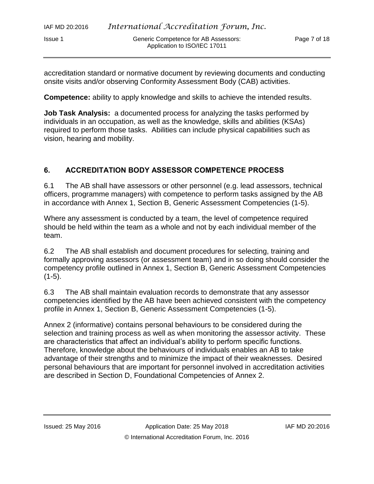accreditation standard or normative document by reviewing documents and conducting onsite visits and/or observing Conformity Assessment Body (CAB) activities.

**Competence:** ability to apply knowledge and skills to achieve the intended results.

**Job Task Analysis:** a documented process for analyzing the tasks performed by individuals in an occupation, as well as the knowledge, skills and abilities (KSAs) required to perform those tasks. Abilities can include physical capabilities such as vision, hearing and mobility.

#### <span id="page-6-0"></span>**6. ACCREDITATION BODY ASSESSOR COMPETENCE PROCESS**

6.1 The AB shall have assessors or other personnel (e.g. lead assessors, technical officers, programme managers) with competence to perform tasks assigned by the AB in accordance with Annex 1, Section B, Generic Assessment Competencies (1-5).

Where any assessment is conducted by a team, the level of competence required should be held within the team as a whole and not by each individual member of the team.

6.2 The AB shall establish and document procedures for selecting, training and formally approving assessors (or assessment team) and in so doing should consider the competency profile outlined in Annex 1, Section B, Generic Assessment Competencies  $(1-5)$ .

6.3 The AB shall maintain evaluation records to demonstrate that any assessor competencies identified by the AB have been achieved consistent with the competency profile in Annex 1, Section B, Generic Assessment Competencies (1-5).

Annex 2 (informative) contains personal behaviours to be considered during the selection and training process as well as when monitoring the assessor activity. These are characteristics that affect an individual's ability to perform specific functions. Therefore, knowledge about the behaviours of individuals enables an AB to take advantage of their strengths and to minimize the impact of their weaknesses. Desired personal behaviours that are important for personnel involved in accreditation activities are described in Section D, Foundational Competencies of Annex 2.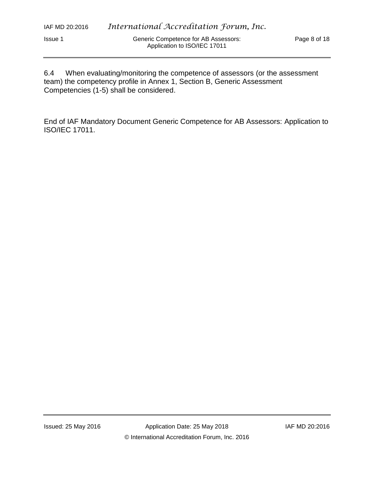6.4 When evaluating/monitoring the competence of assessors (or the assessment team) the competency profile in Annex 1, Section B, Generic Assessment Competencies (1-5) shall be considered.

End of IAF Mandatory Document Generic Competence for AB Assessors: Application to ISO/IEC 17011.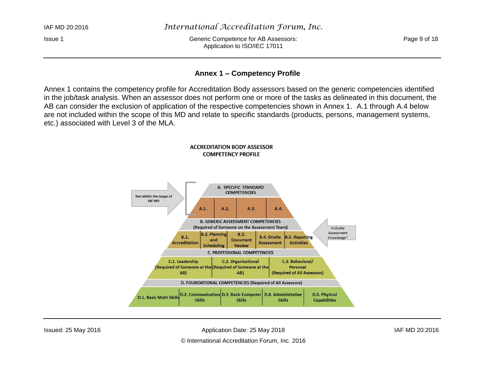IAF MD 20:2016 *International Accreditation Forum, Inc.*

Issue 1 Generic Competence for AB Assessors: Page 9 of 18 Application to ISO/IEC 17011

#### **Annex 1 – Competency Profile**

Annex 1 contains the competency profile for Accreditation Body assessors based on the generic competencies identified in the job/task analysis. When an assessor does not perform one or more of the tasks as delineated in this document, the AB can consider the exclusion of application of the respective competencies shown in Annex 1. A.1 through A.4 below are not included within the scope of this MD and relate to specific standards (products, persons, management systems, etc.) associated with Level 3 of the MLA.

<span id="page-8-0"></span>

Issued: 25 May 2016 Application Date: 25 May 2018 IAF MD 20:2016

© International Accreditation Forum, Inc. 2016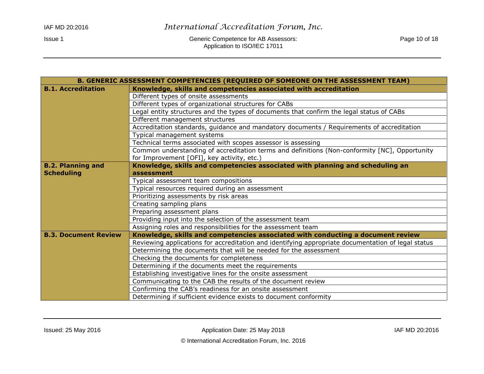Issue 1 Generic Competence for AB Assessors: Competence for AB Assessors: Page 10 of 18 Application to ISO/IEC 17011

| B. GENERIC ASSESSMENT COMPETENCIES (REQUIRED OF SOMEONE ON THE ASSESSMENT TEAM) |                                                                                                    |
|---------------------------------------------------------------------------------|----------------------------------------------------------------------------------------------------|
| <b>B.1. Accreditation</b>                                                       | Knowledge, skills and competencies associated with accreditation                                   |
|                                                                                 | Different types of onsite assessments                                                              |
|                                                                                 | Different types of organizational structures for CABs                                              |
|                                                                                 | Legal entity structures and the types of documents that confirm the legal status of CABs           |
|                                                                                 | Different management structures                                                                    |
|                                                                                 | Accreditation standards, guidance and mandatory documents / Requirements of accreditation          |
|                                                                                 | Typical management systems                                                                         |
|                                                                                 | Technical terms associated with scopes assessor is assessing                                       |
|                                                                                 | Common understanding of accreditation terms and definitions (Non-conformity [NC], Opportunity      |
|                                                                                 | for Improvement [OFI], key activity, etc.)                                                         |
| <b>B.2. Planning and</b>                                                        | Knowledge, skills and competencies associated with planning and scheduling an                      |
| <b>Scheduling</b>                                                               | assessment                                                                                         |
|                                                                                 | Typical assessment team compositions                                                               |
|                                                                                 | Typical resources required during an assessment                                                    |
|                                                                                 | Prioritizing assessments by risk areas                                                             |
|                                                                                 | Creating sampling plans                                                                            |
|                                                                                 | Preparing assessment plans                                                                         |
|                                                                                 | Providing input into the selection of the assessment team                                          |
|                                                                                 | Assigning roles and responsibilities for the assessment team                                       |
| <b>B.3. Document Review</b>                                                     | Knowledge, skills and competencies associated with conducting a document review                    |
|                                                                                 | Reviewing applications for accreditation and identifying appropriate documentation of legal status |
|                                                                                 | Determining the documents that will be needed for the assessment                                   |
|                                                                                 | Checking the documents for completeness                                                            |
|                                                                                 | Determining if the documents meet the requirements                                                 |
|                                                                                 | Establishing investigative lines for the onsite assessment                                         |
|                                                                                 | Communicating to the CAB the results of the document review                                        |
|                                                                                 | Confirming the CAB's readiness for an onsite assessment                                            |
|                                                                                 | Determining if sufficient evidence exists to document conformity                                   |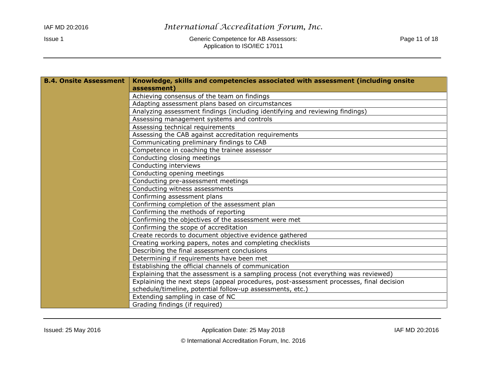| <b>B.4. Onsite Assessment</b> | Knowledge, skills and competencies associated with assessment (including onsite         |
|-------------------------------|-----------------------------------------------------------------------------------------|
|                               | assessment)                                                                             |
|                               | Achieving consensus of the team on findings                                             |
|                               | Adapting assessment plans based on circumstances                                        |
|                               | Analyzing assessment findings (including identifying and reviewing findings)            |
|                               | Assessing management systems and controls                                               |
|                               | Assessing technical requirements                                                        |
|                               | Assessing the CAB against accreditation requirements                                    |
|                               | Communicating preliminary findings to CAB                                               |
|                               | Competence in coaching the trainee assessor                                             |
|                               | Conducting closing meetings                                                             |
|                               | Conducting interviews                                                                   |
|                               | Conducting opening meetings                                                             |
|                               | Conducting pre-assessment meetings                                                      |
|                               | Conducting witness assessments                                                          |
|                               | Confirming assessment plans                                                             |
|                               | Confirming completion of the assessment plan                                            |
|                               | Confirming the methods of reporting                                                     |
|                               | Confirming the objectives of the assessment were met                                    |
|                               | Confirming the scope of accreditation                                                   |
|                               | Create records to document objective evidence gathered                                  |
|                               | Creating working papers, notes and completing checklists                                |
|                               | Describing the final assessment conclusions                                             |
|                               | Determining if requirements have been met                                               |
|                               | Establishing the official channels of communication                                     |
|                               | Explaining that the assessment is a sampling process (not everything was reviewed)      |
|                               | Explaining the next steps (appeal procedures, post-assessment processes, final decision |
|                               | schedule/timeline, potential follow-up assessments, etc.)                               |
|                               | Extending sampling in case of NC                                                        |
|                               | Grading findings (if required)                                                          |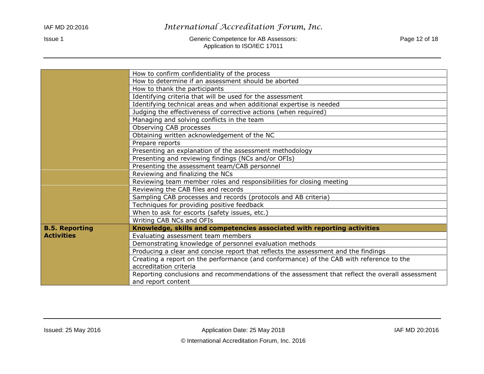#### IAF MD 20:2016 *International Accreditation Forum, Inc.*

Issue 1 Generic Competence for AB Assessors: Competence for AB Assessors: Page 12 of 18 Application to ISO/IEC 17011

|                       | How to confirm confidentiality of the process                                                   |
|-----------------------|-------------------------------------------------------------------------------------------------|
|                       | How to determine if an assessment should be aborted                                             |
|                       | How to thank the participants                                                                   |
|                       | Identifying criteria that will be used for the assessment                                       |
|                       | Identifying technical areas and when additional expertise is needed                             |
|                       | Judging the effectiveness of corrective actions (when required)                                 |
|                       | Managing and solving conflicts in the team                                                      |
|                       | Observing CAB processes                                                                         |
|                       | Obtaining written acknowledgement of the NC                                                     |
|                       | Prepare reports                                                                                 |
|                       | Presenting an explanation of the assessment methodology                                         |
|                       | Presenting and reviewing findings (NCs and/or OFIs)                                             |
|                       | Presenting the assessment team/CAB personnel                                                    |
|                       | Reviewing and finalizing the NCs                                                                |
|                       | Reviewing team member roles and responsibilities for closing meeting                            |
|                       | Reviewing the CAB files and records                                                             |
|                       | Sampling CAB processes and records (protocols and AB criteria)                                  |
|                       | Techniques for providing positive feedback                                                      |
|                       | When to ask for escorts (safety issues, etc.)                                                   |
|                       | Writing CAB NCs and OFIs                                                                        |
| <b>B.5. Reporting</b> | Knowledge, skills and competencies associated with reporting activities                         |
| <b>Activities</b>     | Evaluating assessment team members                                                              |
|                       | Demonstrating knowledge of personnel evaluation methods                                         |
|                       | Producing a clear and concise report that reflects the assessment and the findings              |
|                       | Creating a report on the performance (and conformance) of the CAB with reference to the         |
|                       | accreditation criteria                                                                          |
|                       | Reporting conclusions and recommendations of the assessment that reflect the overall assessment |
|                       | and report content                                                                              |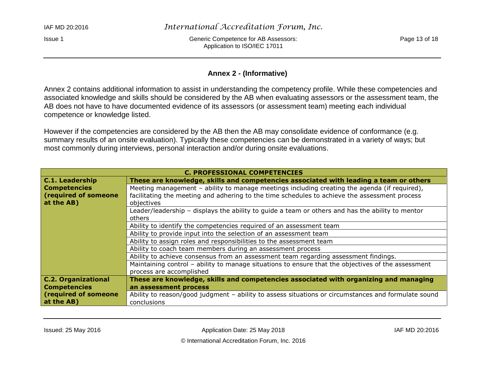Issue 1 Generic Competence for AB Assessors: Page 13 of 18 Application to ISO/IEC 17011

#### **Annex 2 - (Informative)**

Annex 2 contains additional information to assist in understanding the competency profile. While these competencies and associated knowledge and skills should be considered by the AB when evaluating assessors or the assessment team, the AB does not have to have documented evidence of its assessors (or assessment team) meeting each individual competence or knowledge listed.

However if the competencies are considered by the AB then the AB may consolidate evidence of conformance (e.g. summary results of an onsite evaluation). Typically these competencies can be demonstrated in a variety of ways; but most commonly during interviews, personal interaction and/or during onsite evaluations.

<span id="page-12-0"></span>

| <b>C. PROFESSIONAL COMPETENCIES</b> |                                                                                                     |
|-------------------------------------|-----------------------------------------------------------------------------------------------------|
| <b>C.1. Leadership</b>              | These are knowledge, skills and competencies associated with leading a team or others               |
| <b>Competencies</b>                 | Meeting management - ability to manage meetings including creating the agenda (if required),        |
| (required of someone                | facilitating the meeting and adhering to the time schedules to achieve the assessment process       |
| at the AB)                          | objectives                                                                                          |
|                                     | Leader/leadership - displays the ability to guide a team or others and has the ability to mentor    |
|                                     | others                                                                                              |
|                                     | Ability to identify the competencies required of an assessment team                                 |
|                                     | Ability to provide input into the selection of an assessment team                                   |
|                                     | Ability to assign roles and responsibilities to the assessment team                                 |
|                                     | Ability to coach team members during an assessment process                                          |
|                                     | Ability to achieve consensus from an assessment team regarding assessment findings.                 |
|                                     | Maintaining control – ability to manage situations to ensure that the objectives of the assessment  |
|                                     | process are accomplished                                                                            |
| <b>C.2. Organizational</b>          | These are knowledge, skills and competencies associated with organizing and managing                |
| <b>Competencies</b>                 | an assessment process                                                                               |
| (required of someone)               | Ability to reason/good judgment - ability to assess situations or circumstances and formulate sound |
| at the AB)                          | conclusions                                                                                         |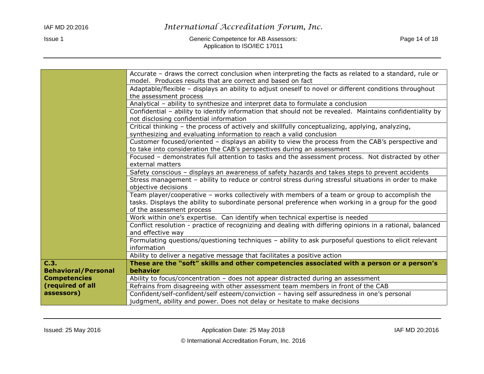|                            | Accurate - draws the correct conclusion when interpreting the facts as related to a standard, rule or     |
|----------------------------|-----------------------------------------------------------------------------------------------------------|
|                            | model. Produces results that are correct and based on fact                                                |
|                            | Adaptable/flexible - displays an ability to adjust oneself to novel or different conditions throughout    |
|                            | the assessment process                                                                                    |
|                            | Analytical - ability to synthesize and interpret data to formulate a conclusion                           |
|                            | Confidential - ability to identify information that should not be revealed. Maintains confidentiality by  |
|                            | not disclosing confidential information                                                                   |
|                            | Critical thinking - the process of actively and skillfully conceptualizing, applying, analyzing,          |
|                            | synthesizing and evaluating information to reach a valid conclusion                                       |
|                            | Customer focused/oriented - displays an ability to view the process from the CAB's perspective and        |
|                            | to take into consideration the CAB's perspectives during an assessment                                    |
|                            | Focused - demonstrates full attention to tasks and the assessment process. Not distracted by other        |
|                            | external matters                                                                                          |
|                            | Safety conscious - displays an awareness of safety hazards and takes steps to prevent accidents           |
|                            | Stress management - ability to reduce or control stress during stressful situations in order to make      |
|                            | objective decisions                                                                                       |
|                            | Team player/cooperative - works collectively with members of a team or group to accomplish the            |
|                            | tasks. Displays the ability to subordinate personal preference when working in a group for the good       |
|                            | of the assessment process                                                                                 |
|                            | Work within one's expertise. Can identify when technical expertise is needed                              |
|                            | Conflict resolution - practice of recognizing and dealing with differing opinions in a rational, balanced |
|                            | and effective way                                                                                         |
|                            | Formulating questions/questioning techniques - ability to ask purposeful questions to elicit relevant     |
|                            | information                                                                                               |
|                            | Ability to deliver a negative message that facilitates a positive action                                  |
| C.3.                       | These are the "soft" skills and other competencies associated with a person or a person's                 |
| <b>Behavioral/Personal</b> | behavior                                                                                                  |
| <b>Competencies</b>        | Ability to focus/concentration - does not appear distracted during an assessment                          |
| (required of all           | Refrains from disagreeing with other assessment team members in front of the CAB                          |
| assessors)                 | Confident/self-confident/self esteem/conviction - having self assuredness in one's personal               |
|                            | judgment, ability and power. Does not delay or hesitate to make decisions                                 |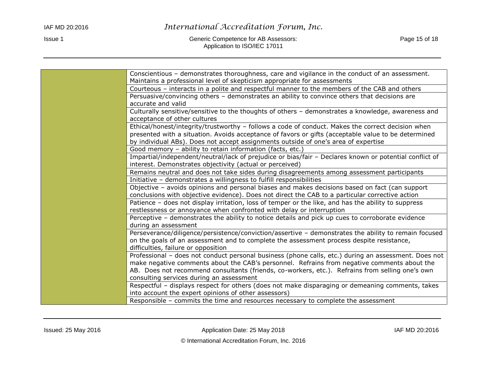Issue 1 Generic Competence for AB Assessors: Competence for AB Assessors: Page 15 of 18 Application to ISO/IEC 17011

| Conscientious - demonstrates thoroughness, care and vigilance in the conduct of an assessment.         |
|--------------------------------------------------------------------------------------------------------|
| Maintains a professional level of skepticism appropriate for assessments                               |
| Courteous – interacts in a polite and respectful manner to the members of the CAB and others           |
| Persuasive/convincing others - demonstrates an ability to convince others that decisions are           |
| accurate and valid                                                                                     |
| Culturally sensitive/sensitive to the thoughts of others - demonstrates a knowledge, awareness and     |
| acceptance of other cultures                                                                           |
| Ethical/honest/integrity/trustworthy - follows a code of conduct. Makes the correct decision when      |
| presented with a situation. Avoids acceptance of favors or gifts (acceptable value to be determined    |
| by individual ABs). Does not accept assignments outside of one's area of expertise                     |
| Good memory - ability to retain information (facts, etc.)                                              |
| Impartial/independent/neutral/lack of prejudice or bias/fair - Declares known or potential conflict of |
| interest. Demonstrates objectivity (actual or perceived)                                               |
| Remains neutral and does not take sides during disagreements among assessment participants             |
| Initiative - demonstrates a willingness to fulfill responsibilities                                    |
| Objective - avoids opinions and personal biases and makes decisions based on fact (can support         |
| conclusions with objective evidence). Does not direct the CAB to a particular corrective action        |
| Patience - does not display irritation, loss of temper or the like, and has the ability to suppress    |
| restlessness or annoyance when confronted with delay or interruption                                   |
| Perceptive - demonstrates the ability to notice details and pick up cues to corroborate evidence       |
| during an assessment                                                                                   |
| Perseverance/diligence/persistence/conviction/assertive - demonstrates the ability to remain focused   |
| on the goals of an assessment and to complete the assessment process despite resistance,               |
| difficulties, failure or opposition                                                                    |
| Professional - does not conduct personal business (phone calls, etc.) during an assessment. Does not   |
| make negative comments about the CAB's personnel. Refrains from negative comments about the            |
| AB. Does not recommend consultants (friends, co-workers, etc.). Refrains from selling one's own        |
| consulting services during an assessment                                                               |
| Respectful - displays respect for others (does not make disparaging or demeaning comments, takes       |
| into account the expert opinions of other assessors)                                                   |
| Responsible - commits the time and resources necessary to complete the assessment                      |
|                                                                                                        |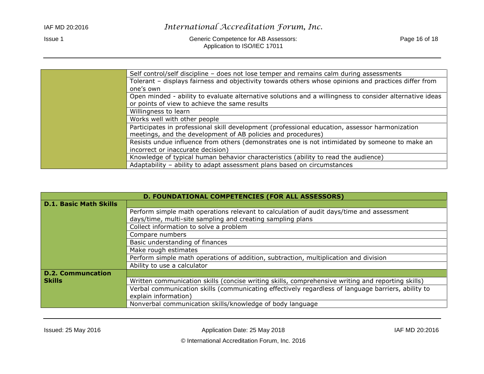Issue 1 Generic Competence for AB Assessors: Competence for AB Assessors: Page 16 of 18 Application to ISO/IEC 17011

| Self control/self discipline – does not lose temper and remains calm during assessments                 |
|---------------------------------------------------------------------------------------------------------|
| Tolerant - displays fairness and objectivity towards others whose opinions and practices differ from    |
| one's own                                                                                               |
| Open minded - ability to evaluate alternative solutions and a willingness to consider alternative ideas |
| or points of view to achieve the same results                                                           |
| Willingness to learn                                                                                    |
| Works well with other people                                                                            |
| Participates in professional skill development (professional education, assessor harmonization          |
| meetings, and the development of AB policies and procedures)                                            |
| Resists undue influence from others (demonstrates one is not intimidated by someone to make an          |
| incorrect or inaccurate decision)                                                                       |
| Knowledge of typical human behavior characteristics (ability to read the audience)                      |
| Adaptability - ability to adapt assessment plans based on circumstances                                 |

| D. FOUNDATIONAL COMPETENCIES (FOR ALL ASSESSORS) |                                                                                                    |
|--------------------------------------------------|----------------------------------------------------------------------------------------------------|
| <b>D.1. Basic Math Skills</b>                    |                                                                                                    |
|                                                  | Perform simple math operations relevant to calculation of audit days/time and assessment           |
|                                                  | days/time, multi-site sampling and creating sampling plans                                         |
|                                                  | Collect information to solve a problem                                                             |
|                                                  | Compare numbers                                                                                    |
|                                                  | Basic understanding of finances                                                                    |
|                                                  | Make rough estimates                                                                               |
|                                                  | Perform simple math operations of addition, subtraction, multiplication and division               |
|                                                  | Ability to use a calculator                                                                        |
| <b>D.2. Communcation</b>                         |                                                                                                    |
| Skills                                           | Written communication skills (concise writing skills, comprehensive writing and reporting skills)  |
|                                                  | Verbal communication skills (communicating effectively regardless of language barriers, ability to |
|                                                  | explain information)                                                                               |
|                                                  | Nonverbal communication skills/knowledge of body language                                          |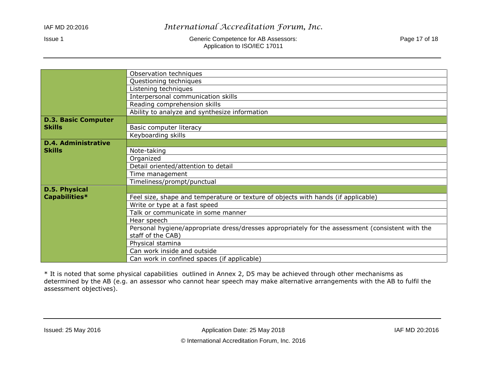Issue 1 Generic Competence for AB Assessors: Competence for AB Assessors: Page 17 of 18 Application to ISO/IEC 17011

|                            | Observation techniques                                                                           |
|----------------------------|--------------------------------------------------------------------------------------------------|
|                            | Questioning techniques                                                                           |
|                            | Listening techniques                                                                             |
|                            | Interpersonal communication skills                                                               |
|                            | Reading comprehension skills                                                                     |
|                            | Ability to analyze and synthesize information                                                    |
| <b>D.3. Basic Computer</b> |                                                                                                  |
| <b>Skills</b>              | Basic computer literacy                                                                          |
|                            | Keyboarding skills                                                                               |
| <b>D.4. Administrative</b> |                                                                                                  |
| <b>Skills</b>              | Note-taking                                                                                      |
|                            | Organized                                                                                        |
|                            | Detail oriented/attention to detail                                                              |
|                            | Time management                                                                                  |
|                            | Timeliness/prompt/punctual                                                                       |
| D.5. Physical              |                                                                                                  |
| Capabilities*              | Feel size, shape and temperature or texture of objects with hands (if applicable)                |
|                            | Write or type at a fast speed                                                                    |
|                            | Talk or communicate in some manner                                                               |
|                            | Hear speech                                                                                      |
|                            | Personal hygiene/appropriate dress/dresses appropriately for the assessment (consistent with the |
|                            | staff of the CAB)                                                                                |
|                            | Physical stamina                                                                                 |
|                            | Can work inside and outside                                                                      |
|                            | Can work in confined spaces (if applicable)                                                      |

\* It is noted that some physical capabilities outlined in Annex 2, D5 may be achieved through other mechanisms as determined by the AB (e.g. an assessor who cannot hear speech may make alternative arrangements with the AB to fulfil the assessment objectives).